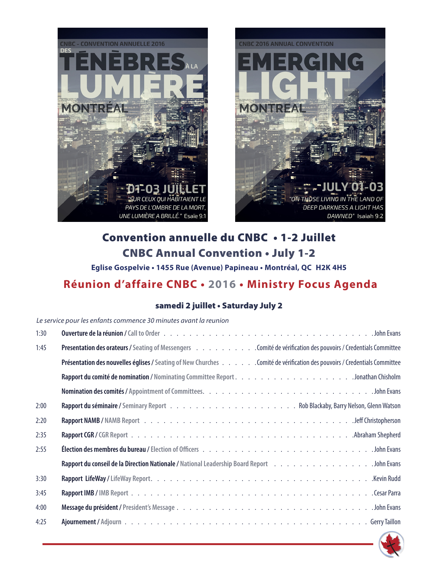



# Convention annuelle du CNBC • 1-2 Juillet CNBC Annual Convention • July 1-2

# **Eglise Gospelvie • 1455 Rue (Avenue) Papineau • Montréal, QC H2K 4H5 Réunion d'affaire CNBC • 2016 • Ministry Focus Agenda**

#### samedi 2 juillet • Saturday July 2

#### *Le service pour les enfants commence 30 minutes avant la reunion*

| 1:30                                                                                                                     |
|--------------------------------------------------------------------------------------------------------------------------|
| Presentation des orateurs / Seating of Messengers Comité de vérification des pouvoirs / Credentials Committee<br>1:45    |
| Présentation des nouvelles églises / Seating of New Churches Comité de vérification des pouvoirs / Credentials Committee |
|                                                                                                                          |
|                                                                                                                          |
| 2:00                                                                                                                     |
| 2:20                                                                                                                     |
| 2:35                                                                                                                     |
| 2:55                                                                                                                     |
| Rapport du conseil de la Direction Nationale / National Leadership Board Report John Evans                               |
| 3:30                                                                                                                     |
| 3:45                                                                                                                     |
| 4:00                                                                                                                     |
| 4:25                                                                                                                     |

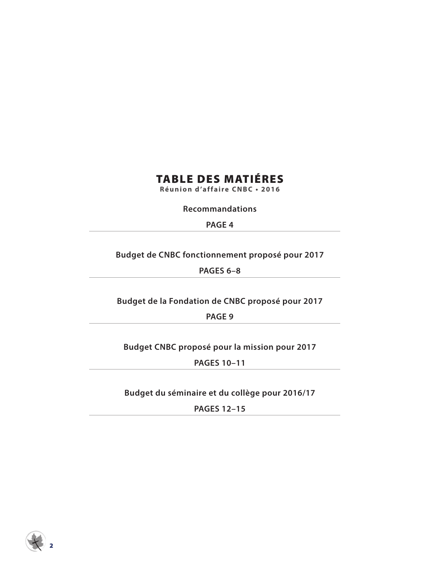### TABLE DES MATIÉRES

**Réunion d'affaire CNBC • 2016**

**Recommandations**

**PAGE 4**

**Budget de CNBC fonctionnement proposé pour 2017**

**PAGES 6–8**

**Budget de la Fondation de CNBC proposé pour 2017**

**PAGE 9**

**Budget CNBC proposé pour la mission pour 2017**

**PAGES 10–11**

**Budget du séminaire et du collège pour 2016/17**

**PAGES 12–15**

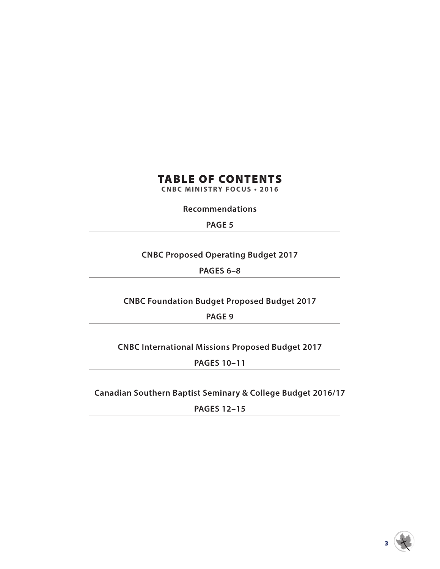# TABLE OF CONTENTS

**CNBC MINISTRY FOCUS • 2016**

**Recommendations**

**PAGE 5**

**CNBC Proposed Operating Budget 2017**

**PAGES 6–8**

**CNBC Foundation Budget Proposed Budget 2017**

**PAGE 9**

**CNBC International Missions Proposed Budget 2017**

**PAGES 10–11**

**Canadian Southern Baptist Seminary & College Budget 2016/17**

**PAGES 12–15**

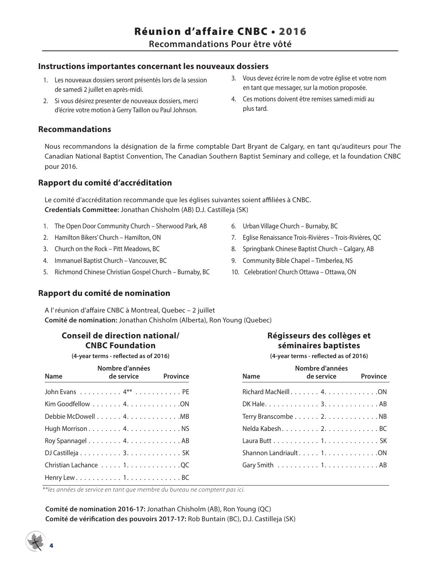#### **Instructions importantes concernant les nouveaux dossiers**

- 1. Les nouveaux dossiers seront présentés lors de la session de samedi 2 juillet en après-midi.
- 2. Si vous désirez presenter de nouveaux dossiers, merci d'écrire votre motion à Gerry Taillon ou Paul Johnson.

#### **Recommandations**

Nous recommandons la désignation de la firme comptable Dart Bryant de Calgary, en tant qu'auditeurs pour The Canadian National Baptist Convention, The Canadian Southern Baptist Seminary and college, et la foundation CNBC pour 2016.

#### **Rapport du comité d'accréditation**

Le comité d'accréditation recommande que les églises suivantes soient affiliées à CNBC. **Credentials Committee:** Jonathan Chisholm (AB) D.J. Castilleja (SK)

- 1. The Open Door Community Church Sherwood Park, AB
- 2. Hamilton Bikers' Church Hamilton, ON
- 3. Church on the Rock Pitt Meadows, BC
- 4. Immanuel Baptist Church Vancouver, BC
- 5. Richmond Chinese Christian Gospel Church Burnaby, BC

#### **Rapport du comité de nomination**

A l' réunion d'affaire CNBC à Montreal, Quebec – 2 juillet **Comité de nomination:** Jonathan Chisholm (Alberta), Ron Young (Quebec)

#### **Conseil de direction national/ CNBC Foundation**

**(4-year terms - reflected as of 2016)**

| Name | Nombre d'années<br>de service <b>de la contra</b> | Province |
|------|---------------------------------------------------|----------|
|      |                                                   |          |
|      |                                                   |          |
|      |                                                   |          |
|      |                                                   |          |
|      |                                                   |          |
|      |                                                   |          |
|      | Christian Lachance 1. QC                          |          |
|      |                                                   |          |

4

3. Vous devez écrire le nom de votre église et votre nom en tant que messager, sur la motion proposée.

4. Ces motions doivent être remises samedi midi au plus tard.

- 6. Urban Village Church Burnaby, BC
- 7. Eglise Renaissance Trois-Rivières Trois-Rivières, QC
- 8. Springbank Chinese Baptist Church Calgary, AB
- 9. Community Bible Chapel Timberlea, NS
- 10. Celebration! Church Ottawa Ottawa, ON

#### **Régisseurs des collèges et séminaires baptistes**

**(4-year terms - reflected as of 2016)**

| Name | Nombre d'années<br>de service | <b>Province</b> |
|------|-------------------------------|-----------------|
|      |                               |                 |
|      |                               |                 |
|      |                               |                 |
|      |                               |                 |
|      |                               |                 |
|      |                               |                 |
|      |                               |                 |
|      |                               |                 |

*\*\*les années de service en tant que membre du bureau ne comptent pas ici.*

**Comité de nomination 2016-17:** Jonathan Chisholm (AB), Ron Young (QC) **Comité de vérification des pouvoirs 2017-17:** Rob Buntain (BC), D.J. Castilleja (SK)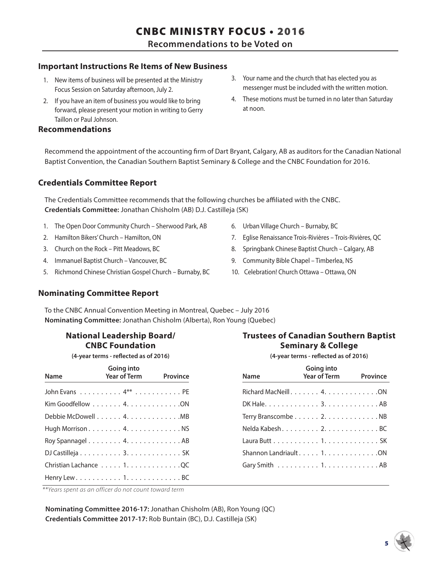**Recommendations to be Voted on**

#### **Important Instructions Re Items of New Business**

- 1. New items of business will be presented at the Ministry Focus Session on Saturday afternoon, July 2.
- 2. If you have an item of business you would like to bring forward, please present your motion in writing to Gerry Taillon or Paul Johnson.

#### **Recommendations**

- 3. Your name and the church that has elected you as messenger must be included with the written motion.
- 4. These motions must be turned in no later than Saturday at noon.

Recommend the appointment of the accounting firm of Dart Bryant, Calgary, AB as auditors for the Canadian National Baptist Convention, the Canadian Southern Baptist Seminary & College and the CNBC Foundation for 2016.

#### **Credentials Committee Report**

The Credentials Committee recommends that the following churches be affiliated with the CNBC. **Credentials Committee:** Jonathan Chisholm (AB) D.J. Castilleja (SK)

- 1. The Open Door Community Church Sherwood Park, AB
- 2. Hamilton Bikers' Church Hamilton, ON
- 3. Church on the Rock Pitt Meadows, BC
- 4. Immanuel Baptist Church Vancouver, BC
- 5. Richmond Chinese Christian Gospel Church Burnaby, BC
- 6. Urban Village Church Burnaby, BC
- 7. Eglise Renaissance Trois-Rivières Trois-Rivières, QC
- 8. Springbank Chinese Baptist Church Calgary, AB
- 9. Community Bible Chapel Timberlea, NS
- 10. Celebration! Church Ottawa Ottawa, ON

#### **Nominating Committee Report**

To the CNBC Annual Convention Meeting in Montreal, Quebec – July 2016 **Nominating Committee:** Jonathan Chisholm (Alberta), Ron Young (Quebec)

#### **National Leadership Board/ CNBC Foundation**

**(4-year terms - reflected as of 2016)**

| <b>Name</b>              | Going into<br><b>Year of Term</b> | Province |
|--------------------------|-----------------------------------|----------|
|                          |                                   |          |
|                          |                                   |          |
|                          |                                   |          |
|                          |                                   |          |
|                          |                                   |          |
|                          |                                   |          |
| Christian Lachance 1. QC |                                   |          |
|                          |                                   |          |

| Trustees of Canadian Southern Baptist |
|---------------------------------------|
| <b>Seminary &amp; College</b>         |
| (4-year terms - reflected as of 2016) |

| <b>Name</b> | Going into<br><b>Year of Term</b> | Province |
|-------------|-----------------------------------|----------|
|             |                                   |          |
|             |                                   |          |
|             |                                   |          |
|             |                                   |          |
|             |                                   |          |
|             |                                   |          |
|             |                                   |          |
|             |                                   |          |

*\*\*Years spent as an officer do not count toward term*

**Nominating Committee 2016-17:** Jonathan Chisholm (AB), Ron Young (QC) **Credentials Committee 2017-17:** Rob Buntain (BC), D.J. Castilleja (SK)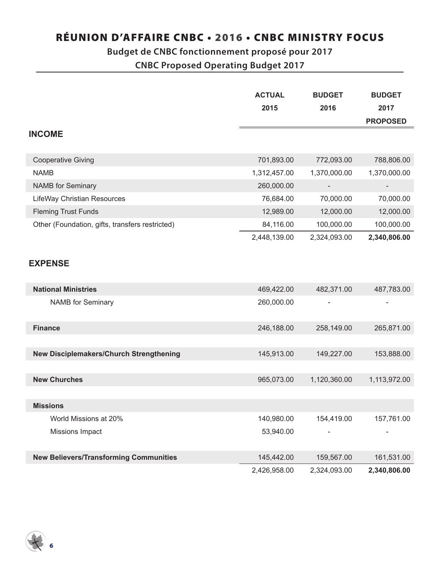### **Budget de CNBC fonctionnement proposé pour 2017**

**CNBC Proposed Operating Budget 2017**

|                                                 | <b>ACTUAL</b> | <b>BUDGET</b> | <b>BUDGET</b>   |
|-------------------------------------------------|---------------|---------------|-----------------|
|                                                 | 2015          | 2016          | 2017            |
|                                                 |               |               | <b>PROPOSED</b> |
| <b>INCOME</b>                                   |               |               |                 |
| <b>Cooperative Giving</b>                       | 701,893.00    | 772,093.00    | 788,806.00      |
| <b>NAMB</b>                                     | 1,312,457.00  | 1,370,000.00  | 1,370,000.00    |
| <b>NAMB</b> for Seminary                        | 260,000.00    |               |                 |
| LifeWay Christian Resources                     | 76,684.00     | 70,000.00     | 70,000.00       |
| <b>Fleming Trust Funds</b>                      | 12,989.00     | 12,000.00     | 12,000.00       |
| Other (Foundation, gifts, transfers restricted) | 84,116.00     | 100,000.00    | 100,000.00      |
|                                                 | 2,448,139.00  | 2,324,093.00  | 2,340,806.00    |
| <b>EXPENSE</b>                                  |               |               |                 |
| <b>National Ministries</b>                      | 469,422.00    | 482,371.00    | 487,783.00      |
| <b>NAMB</b> for Seminary                        | 260,000.00    |               |                 |
| <b>Finance</b>                                  | 246,188.00    | 258,149.00    | 265,871.00      |
|                                                 |               |               |                 |
| New Disciplemakers/Church Strengthening         | 145,913.00    | 149,227.00    | 153,888.00      |
|                                                 |               |               |                 |
| <b>New Churches</b>                             | 965,073.00    | 1,120,360.00  | 1,113,972.00    |
|                                                 |               |               |                 |
| <b>Missions</b>                                 |               |               |                 |
| World Missions at 20%                           | 140,980.00    | 154,419.00    | 157,761.00      |
| Missions Impact                                 | 53,940.00     |               |                 |
| <b>New Believers/Transforming Communities</b>   | 145,442.00    | 159,567.00    | 161,531.00      |
|                                                 | 2,426,958.00  | 2,324,093.00  | 2,340,806.00    |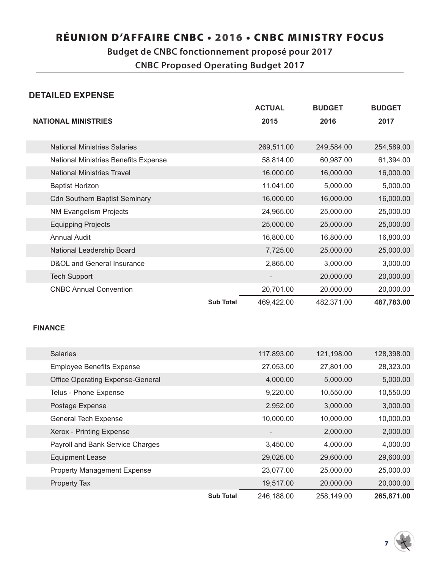### **Budget de CNBC fonctionnement proposé pour 2017**

**CNBC Proposed Operating Budget 2017**

#### **DETAILED EXPENSE**

|                                      | <b>ACTUAL</b> | <b>BUDGET</b> | <b>BUDGET</b> |
|--------------------------------------|---------------|---------------|---------------|
| <b>NATIONAL MINISTRIES</b>           | 2015          | 2016          | 2017          |
|                                      |               |               |               |
| <b>National Ministries Salaries</b>  | 269,511.00    | 249,584.00    | 254,589.00    |
| National Ministries Benefits Expense | 58,814.00     | 60,987.00     | 61,394.00     |
| <b>National Ministries Travel</b>    | 16,000.00     | 16,000.00     | 16,000.00     |
| <b>Baptist Horizon</b>               | 11,041.00     | 5,000.00      | 5,000.00      |
| <b>Cdn Southern Baptist Seminary</b> | 16,000.00     | 16,000.00     | 16,000.00     |
| <b>NM Evangelism Projects</b>        | 24,965.00     | 25,000.00     | 25,000.00     |
| <b>Equipping Projects</b>            | 25,000.00     | 25,000.00     | 25,000.00     |
| <b>Annual Audit</b>                  | 16,800.00     | 16,800.00     | 16,800.00     |
| National Leadership Board            | 7,725.00      | 25,000.00     | 25,000.00     |
| D&OL and General Insurance           | 2,865.00      | 3,000.00      | 3,000.00      |
| <b>Tech Support</b>                  |               | 20,000.00     | 20,000.00     |
| <b>CNBC Annual Convention</b>        | 20,701.00     | 20,000.00     | 20,000.00     |
| <b>Sub Total</b>                     | 469,422.00    | 482,371.00    | 487,783.00    |

#### **FINANCE**

| <b>Salaries</b>                         | 117,893.00 | 121,198.00 | 128,398.00 |
|-----------------------------------------|------------|------------|------------|
| <b>Employee Benefits Expense</b>        | 27,053.00  | 27,801.00  | 28,323.00  |
| <b>Office Operating Expense-General</b> | 4,000.00   | 5,000.00   | 5,000.00   |
| Telus - Phone Expense                   | 9,220.00   | 10,550.00  | 10,550.00  |
| Postage Expense                         | 2,952.00   | 3,000.00   | 3,000.00   |
| <b>General Tech Expense</b>             | 10,000.00  | 10,000.00  | 10,000.00  |
| Xerox - Printing Expense                |            | 2,000.00   | 2,000.00   |
| Payroll and Bank Service Charges        | 3,450.00   | 4,000.00   | 4,000.00   |
| <b>Equipment Lease</b>                  | 29,026.00  | 29,600.00  | 29,600.00  |
| <b>Property Management Expense</b>      | 23,077.00  | 25,000.00  | 25,000.00  |
| Property Tax                            | 19,517.00  | 20,000.00  | 20,000.00  |
| <b>Sub Total</b>                        | 246,188.00 | 258,149.00 | 265,871.00 |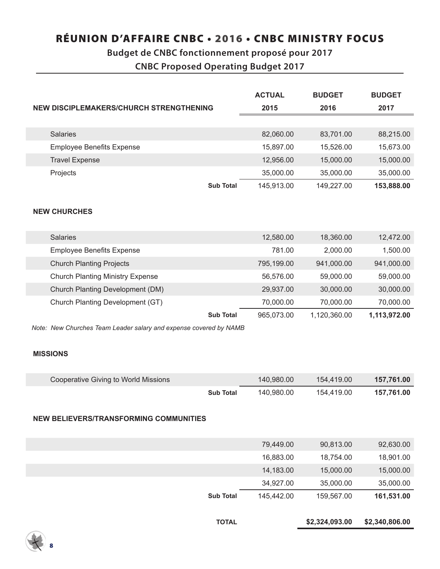### **Budget de CNBC fonctionnement proposé pour 2017**

**CNBC Proposed Operating Budget 2017**

|                                                                   | <b>ACTUAL</b> | <b>BUDGET</b> | <b>BUDGET</b> |
|-------------------------------------------------------------------|---------------|---------------|---------------|
| NEW DISCIPLEMAKERS/CHURCH STRENGTHENING                           | 2015          | 2016          | 2017          |
|                                                                   |               |               |               |
| <b>Salaries</b>                                                   | 82,060.00     | 83,701.00     | 88,215.00     |
| <b>Employee Benefits Expense</b>                                  | 15,897.00     | 15,526.00     | 15,673.00     |
| <b>Travel Expense</b>                                             | 12,956.00     | 15,000.00     | 15,000.00     |
| Projects                                                          | 35,000.00     | 35,000.00     | 35,000.00     |
| <b>Sub Total</b>                                                  | 145,913.00    | 149,227.00    | 153,888.00    |
|                                                                   |               |               |               |
| <b>NEW CHURCHES</b>                                               |               |               |               |
|                                                                   |               |               |               |
| <b>Salaries</b>                                                   | 12,580.00     | 18,360.00     | 12,472.00     |
| <b>Employee Benefits Expense</b>                                  | 781.00        | 2,000.00      | 1,500.00      |
| <b>Church Planting Projects</b>                                   | 795,199.00    | 941,000.00    | 941,000.00    |
| <b>Church Planting Ministry Expense</b>                           | 56,576.00     | 59,000.00     | 59,000.00     |
| Church Planting Development (DM)                                  | 29,937.00     | 30,000.00     | 30,000.00     |
| Church Planting Development (GT)                                  | 70,000.00     | 70,000.00     | 70,000.00     |
| <b>Sub Total</b>                                                  | 965,073.00    | 1,120,360.00  | 1,113,972.00  |
| Note: New Churches Team Leader salary and expense covered by NAMB |               |               |               |
|                                                                   |               |               |               |
| <b>MISSIONS</b>                                                   |               |               |               |
|                                                                   |               |               |               |
| <b>Cooperative Giving to World Missions</b>                       | 140,980.00    | 154,419.00    | 157,761.00    |
| <b>Sub Total</b>                                                  | 140,980.00    | 154,419.00    | 157,761.00    |
|                                                                   |               |               |               |
| <b>NEW BELIEVERS/TRANSFORMING COMMUNITIES</b>                     |               |               |               |
|                                                                   |               |               |               |
|                                                                   | 79,449.00     | 90,813.00     | 92,630.00     |
|                                                                   | 16,883.00     | 18,754.00     | 18,901.00     |
|                                                                   | 14,183.00     | 15,000.00     | 15,000.00     |
|                                                                   | 34,927.00     | 35,000.00     | 35,000.00     |
| <b>Sub Total</b>                                                  | 145,442.00    | 159,567.00    | 161,531.00    |
|                                                                   |               |               |               |

8

**TOTAL \$2,324,093.00 \$2,340,806.00**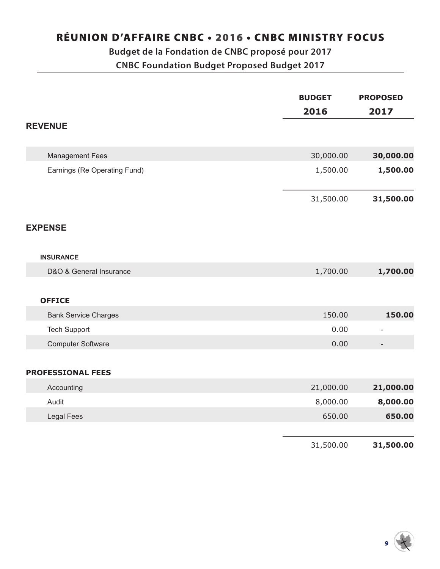### **Budget de la Fondation de CNBC proposé pour 2017 CNBC Foundation Budget Proposed Budget 2017**

|                              | <b>BUDGET</b> | <b>PROPOSED</b> |
|------------------------------|---------------|-----------------|
|                              | 2016          | 2017            |
| <b>REVENUE</b>               |               |                 |
|                              |               |                 |
| <b>Management Fees</b>       | 30,000.00     | 30,000.00       |
| Earnings (Re Operating Fund) | 1,500.00      | 1,500.00        |
|                              | 31,500.00     | 31,500.00       |
| <b>EXPENSE</b>               |               |                 |
| <b>INSURANCE</b>             |               |                 |
| D&O & General Insurance      | 1,700.00      | 1,700.00        |
|                              |               |                 |
| <b>OFFICE</b>                |               |                 |
| <b>Bank Service Charges</b>  | 150.00        | 150.00          |
| <b>Tech Support</b>          | 0.00          |                 |
| <b>Computer Software</b>     | 0.00          |                 |
|                              |               |                 |
| <b>PROFESSIONAL FEES</b>     |               |                 |
| Accounting                   | 21,000.00     | 21,000.00       |
| Audit                        | 8,000.00      | 8,000.00        |
| <b>Legal Fees</b>            | 650.00        | 650.00          |
|                              |               |                 |
|                              | 31,500.00     | 31,500.00       |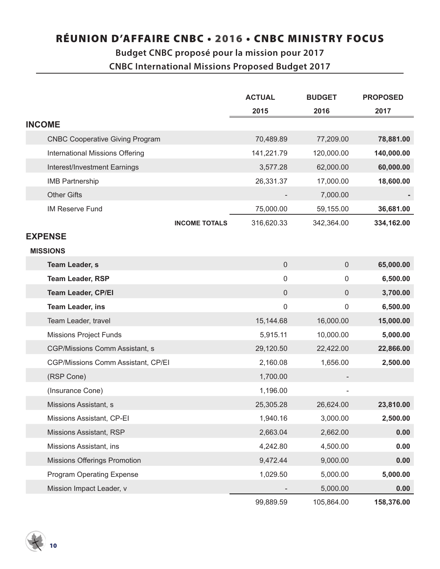# **Budget CNBC proposé pour la mission pour 2017**

**CNBC International Missions Proposed Budget 2017**

|                                        | <b>ACTUAL</b>                      | <b>BUDGET</b> | <b>PROPOSED</b> |
|----------------------------------------|------------------------------------|---------------|-----------------|
|                                        | 2015                               | 2016          | 2017            |
| <b>INCOME</b>                          |                                    |               |                 |
| <b>CNBC Cooperative Giving Program</b> | 70,489.89                          | 77,209.00     | 78,881.00       |
| <b>International Missions Offering</b> | 141,221.79                         | 120,000.00    | 140,000.00      |
| Interest/Investment Earnings           | 3,577.28                           | 62,000.00     | 60,000.00       |
| <b>IMB Partnership</b>                 | 26,331.37                          | 17,000.00     | 18,600.00       |
| <b>Other Gifts</b>                     |                                    | 7,000.00      |                 |
| <b>IM Reserve Fund</b>                 | 75,000.00                          | 59,155.00     | 36,681.00       |
|                                        | 316,620.33<br><b>INCOME TOTALS</b> | 342,364.00    | 334,162.00      |
| <b>EXPENSE</b>                         |                                    |               |                 |
| <b>MISSIONS</b>                        |                                    |               |                 |
| <b>Team Leader, s</b>                  | $\mathbf 0$                        | $\mathbf 0$   | 65,000.00       |
| <b>Team Leader, RSP</b>                | 0                                  | 0             | 6,500.00        |
| <b>Team Leader, CP/EI</b>              | $\pmb{0}$                          | $\mathbf 0$   | 3,700.00        |
| <b>Team Leader, ins</b>                | 0                                  | $\mathbf 0$   | 6,500.00        |
| Team Leader, travel                    | 15,144.68                          | 16,000.00     | 15,000.00       |
| <b>Missions Project Funds</b>          | 5,915.11                           | 10,000.00     | 5,000.00        |
| CGP/Missions Comm Assistant, s         | 29,120.50                          | 22,422.00     | 22,866.00       |
| CGP/Missions Comm Assistant, CP/EI     | 2,160.08                           | 1,656.00      | 2,500.00        |
| (RSP Cone)                             | 1,700.00                           |               |                 |
| (Insurance Cone)                       | 1,196.00                           |               |                 |
| Missions Assistant, s                  | 25,305.28                          | 26,624.00     | 23,810.00       |
| Missions Assistant, CP-EI              | 1,940.16                           | 3,000.00      | 2,500.00        |
| Missions Assistant, RSP                | 2,663.04                           | 2,662.00      | 0.00            |
| Missions Assistant, ins                | 4,242.80                           | 4,500.00      | 0.00            |
| <b>Missions Offerings Promotion</b>    | 9,472.44                           | 9,000.00      | 0.00            |
| <b>Program Operating Expense</b>       | 1,029.50                           | 5,000.00      | 5,000.00        |
| Mission Impact Leader, v               |                                    | 5,000.00      | 0.00            |
|                                        | 99,889.59                          | 105,864.00    | 158,376.00      |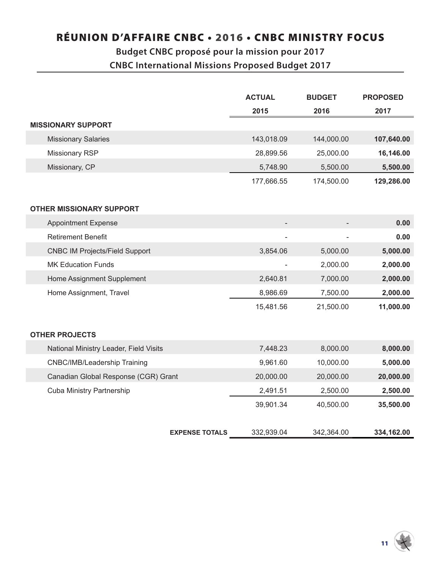### **Budget CNBC proposé pour la mission pour 2017 CNBC International Missions Proposed Budget 2017**

|                                        | <b>ACTUAL</b> | <b>BUDGET</b> | <b>PROPOSED</b> |
|----------------------------------------|---------------|---------------|-----------------|
|                                        | 2015          | 2016          | 2017            |
| <b>MISSIONARY SUPPORT</b>              |               |               |                 |
| <b>Missionary Salaries</b>             | 143,018.09    | 144,000.00    | 107,640.00      |
| Missionary RSP                         | 28,899.56     | 25,000.00     | 16,146.00       |
| Missionary, CP                         | 5,748.90      | 5,500.00      | 5,500.00        |
|                                        | 177,666.55    | 174,500.00    | 129,286.00      |
|                                        |               |               |                 |
| <b>OTHER MISSIONARY SUPPORT</b>        |               |               |                 |
| <b>Appointment Expense</b>             |               |               | 0.00            |
| <b>Retirement Benefit</b>              |               |               | 0.00            |
| <b>CNBC IM Projects/Field Support</b>  | 3,854.06      | 5,000.00      | 5,000.00        |
| <b>MK Education Funds</b>              |               | 2,000.00      | 2,000.00        |
| Home Assignment Supplement             | 2,640.81      | 7,000.00      | 2,000.00        |
| Home Assignment, Travel                | 8,986.69      | 7,500.00      | 2,000.00        |
|                                        | 15,481.56     | 21,500.00     | 11,000.00       |
|                                        |               |               |                 |
| <b>OTHER PROJECTS</b>                  |               |               |                 |
| National Ministry Leader, Field Visits | 7,448.23      | 8,000.00      | 8,000.00        |
| CNBC/IMB/Leadership Training           | 9,961.60      | 10,000.00     | 5,000.00        |
| Canadian Global Response (CGR) Grant   | 20,000.00     | 20,000.00     | 20,000.00       |
| <b>Cuba Ministry Partnership</b>       | 2,491.51      | 2,500.00      | 2,500.00        |
|                                        | 39,901.34     | 40,500.00     | 35,500.00       |
|                                        |               |               |                 |
| <b>EXPENSE TOTALS</b>                  | 332,939.04    | 342,364.00    | 334,162.00      |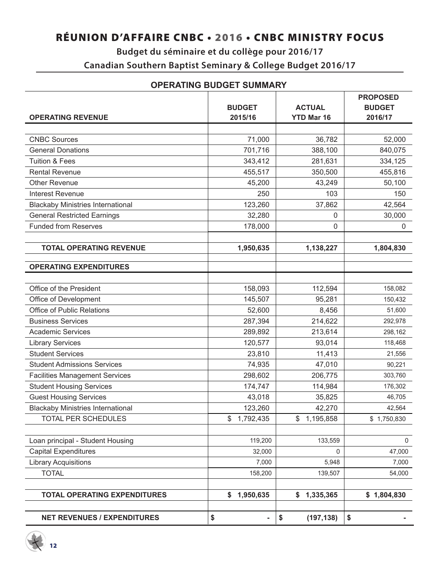### **Budget du séminaire et du collège pour 2016/17 Canadian Southern Baptist Seminary & College Budget 2016/17**

|                                          | <b>BUDGET</b>        | <b>ACTUAL</b>     | <b>PROPOSED</b><br><b>BUDGET</b> |
|------------------------------------------|----------------------|-------------------|----------------------------------|
| <b>OPERATING REVENUE</b>                 | 2015/16              | <b>YTD Mar 16</b> | 2016/17                          |
|                                          |                      |                   |                                  |
| <b>CNBC Sources</b>                      | 71,000               | 36,782            | 52,000                           |
| <b>General Donations</b>                 | 701,716              | 388,100           | 840,075                          |
| <b>Tuition &amp; Fees</b>                | 343,412              | 281,631           | 334,125                          |
| <b>Rental Revenue</b>                    | 455,517              | 350,500           | 455,816                          |
| <b>Other Revenue</b>                     | 45,200               | 43,249            | 50,100                           |
| <b>Interest Revenue</b>                  | 250                  | 103               | 150                              |
| <b>Blackaby Ministries International</b> | 123,260              | 37,862            | 42,564                           |
| <b>General Restricted Earnings</b>       | 32,280               | 0                 | 30,000                           |
| <b>Funded from Reserves</b>              | 178,000              | 0                 | $\pmb{0}$                        |
| <b>TOTAL OPERATING REVENUE</b>           | 1,950,635            | 1,138,227         | 1,804,830                        |
| <b>OPERATING EXPENDITURES</b>            |                      |                   |                                  |
|                                          |                      |                   |                                  |
| Office of the President                  | 158,093              | 112,594           | 158,082                          |
| Office of Development                    | 145,507              | 95,281            | 150,432                          |
| Office of Public Relations               | 52,600               | 8,456             | 51,600                           |
| <b>Business Services</b>                 | 287,394              | 214,622           | 292,978                          |
| <b>Academic Services</b>                 | 289,892              | 213,614           | 298,162                          |
| <b>Library Services</b>                  | 120,577              | 93,014            | 118,468                          |
| <b>Student Services</b>                  | 23,810               | 11,413            | 21,556                           |
| <b>Student Admissions Services</b>       | 74,935               | 47,010            | 90,221                           |
| <b>Facilities Management Services</b>    | 298,602              | 206,775           | 303,760                          |
| <b>Student Housing Services</b>          | 174,747              | 114,984           | 176,302                          |
| <b>Guest Housing Services</b>            | 43,018               | 35,825            | 46,705                           |
| <b>Blackaby Ministries International</b> | 123,260              | 42,270            | 42,564                           |
| TOTAL PER SCHEDULES                      | \$1,792,435          | \$1,195,858       | \$1,750,830                      |
| Loan principal - Student Housing         | 119,200              | 133,559           | 0                                |
| <b>Capital Expenditures</b>              | 32,000               | 0                 | 47,000                           |
| <b>Library Acquisitions</b>              | 7,000                | 5,948             | 7,000                            |
| <b>TOTAL</b>                             | 158,200              | 139,507           | 54,000                           |
| <b>TOTAL OPERATING EXPENDITURES</b>      | \$1,950,635          | \$1,335,365       | \$1,804,830                      |
|                                          |                      |                   |                                  |
| <b>NET REVENUES / EXPENDITURES</b>       | \$<br>$\blacksquare$ | \$<br>(197, 138)  | \$                               |

#### **OPERATING BUDGET SUMMARY**

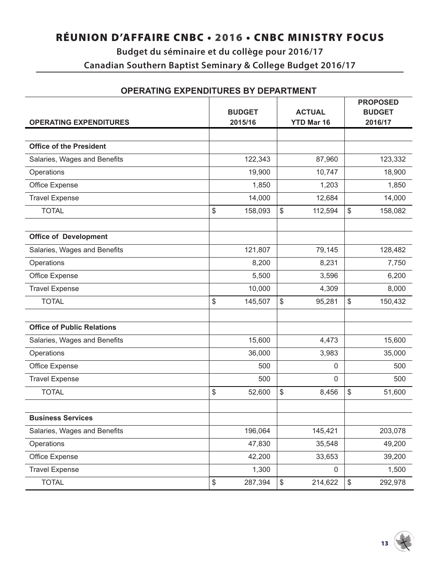### **Budget du séminaire et du collège pour 2016/17 Canadian Southern Baptist Seminary & College Budget 2016/17**

|                                   |                          |                                    | <b>PROPOSED</b>          |  |
|-----------------------------------|--------------------------|------------------------------------|--------------------------|--|
| <b>OPERATING EXPENDITURES</b>     | <b>BUDGET</b><br>2015/16 | <b>ACTUAL</b><br><b>YTD Mar 16</b> | <b>BUDGET</b><br>2016/17 |  |
|                                   |                          |                                    |                          |  |
| <b>Office of the President</b>    |                          |                                    |                          |  |
| Salaries, Wages and Benefits      | 122,343                  | 87,960                             | 123,332                  |  |
| Operations                        | 19,900                   | 10,747                             | 18,900                   |  |
| Office Expense                    | 1,850                    | 1,203                              | 1,850                    |  |
| <b>Travel Expense</b>             | 14,000                   | 12,684                             | 14,000                   |  |
| <b>TOTAL</b>                      | \$<br>158,093            | \$<br>112,594                      | \$<br>158,082            |  |
| <b>Office of Development</b>      |                          |                                    |                          |  |
| Salaries, Wages and Benefits      | 121,807                  | 79,145                             | 128,482                  |  |
| Operations                        | 8,200                    | 8,231                              | 7,750                    |  |
| Office Expense                    | 5,500                    | 3,596                              | 6,200                    |  |
| <b>Travel Expense</b>             | 10,000                   | 4,309                              | 8,000                    |  |
| <b>TOTAL</b>                      | \$<br>145,507            | \$<br>95,281                       | \$<br>150,432            |  |
| <b>Office of Public Relations</b> |                          |                                    |                          |  |
| Salaries, Wages and Benefits      | 15,600                   | 4,473                              | 15,600                   |  |
| Operations                        | 36,000                   | 3,983                              | 35,000                   |  |
| Office Expense                    | 500                      | 0                                  | 500                      |  |
| <b>Travel Expense</b>             | 500                      | 0                                  | 500                      |  |
| <b>TOTAL</b>                      | \$<br>52,600             | \$<br>8,456                        | \$<br>51,600             |  |
| <b>Business Services</b>          |                          |                                    |                          |  |
| Salaries, Wages and Benefits      | 196,064                  | 145,421                            | 203,078                  |  |
| Operations                        | 47,830                   | 35,548                             | 49,200                   |  |
| Office Expense                    | 42,200                   | 33,653                             | 39,200                   |  |
| <b>Travel Expense</b>             | 1,300                    | $\mathbf 0$                        | 1,500                    |  |
| <b>TOTAL</b>                      | \$<br>287,394            | \$<br>214,622                      | 292,978<br>\$            |  |

#### **OPERATING EXPENDITURES BY DEPARTMENT**

 $13 \frac{11}{2}$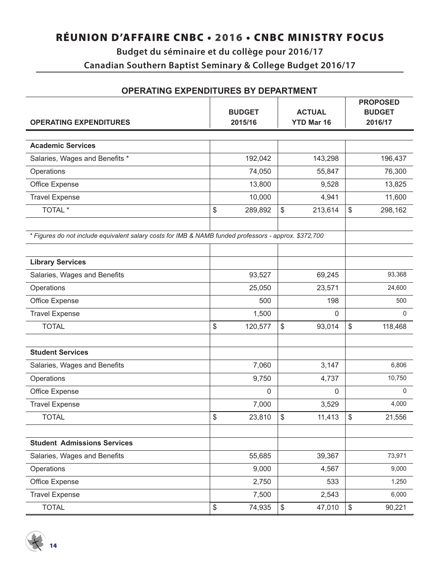### **Budget du séminaire et du collège pour 2016/17 Canadian Southern Baptist Seminary & College Budget 2016/17**

| <b>OPERATING EXPENDITURES BY DEPARTMENT</b>                                                           |    |                                                                |               |    |                          |  |
|-------------------------------------------------------------------------------------------------------|----|----------------------------------------------------------------|---------------|----|--------------------------|--|
|                                                                                                       |    |                                                                |               |    | <b>PROPOSED</b>          |  |
| <b>OPERATING EXPENDITURES</b>                                                                         |    | <b>ACTUAL</b><br><b>BUDGET</b><br><b>YTD Mar 16</b><br>2015/16 |               |    | <b>BUDGET</b><br>2016/17 |  |
|                                                                                                       |    |                                                                |               |    |                          |  |
| <b>Academic Services</b>                                                                              |    |                                                                |               |    |                          |  |
| Salaries, Wages and Benefits *                                                                        |    | 192,042                                                        | 143,298       |    | 196,437                  |  |
| Operations                                                                                            |    | 74,050                                                         | 55,847        |    | 76,300                   |  |
| Office Expense                                                                                        |    | 13,800                                                         | 9,528         |    | 13,825                   |  |
| <b>Travel Expense</b>                                                                                 |    | 10,000                                                         | 4,941         |    | 11,600                   |  |
| TOTAL <sup>*</sup>                                                                                    | \$ | 289,892                                                        | \$<br>213,614 | \$ | 298,162                  |  |
| * Figures do not include equivalent salary costs for IMB & NAMB funded professors - approx. \$372,700 |    |                                                                |               |    |                          |  |
| <b>Library Services</b>                                                                               |    |                                                                |               |    |                          |  |
| Salaries, Wages and Benefits                                                                          |    | 93,527                                                         | 69,245        |    | 93,368                   |  |
| Operations                                                                                            |    | 25,050                                                         | 23,571        |    | 24,600                   |  |
| Office Expense                                                                                        |    | 500                                                            | 198           |    | 500                      |  |
| <b>Travel Expense</b>                                                                                 |    | 1,500                                                          | 0             |    | 0                        |  |
| <b>TOTAL</b>                                                                                          | \$ | 120,577                                                        | \$<br>93,014  | \$ | 118,468                  |  |
| <b>Student Services</b>                                                                               |    |                                                                |               |    |                          |  |
| Salaries, Wages and Benefits                                                                          |    | 7,060                                                          | 3,147         |    | 6,806                    |  |
| Operations                                                                                            |    | 9,750                                                          | 4,737         |    | 10,750                   |  |
| Office Expense                                                                                        |    | 0                                                              | 0             |    | 0                        |  |
| <b>Travel Expense</b>                                                                                 |    | 7,000                                                          | 3,529         |    | 4,000                    |  |
| <b>TOTAL</b>                                                                                          | \$ | 23,810                                                         | \$<br>11,413  | \$ | 21,556                   |  |
|                                                                                                       |    |                                                                |               |    |                          |  |
| <b>Student Admissions Services</b>                                                                    |    |                                                                |               |    |                          |  |
| Salaries, Wages and Benefits                                                                          |    | 55,685                                                         | 39,367        |    | 73,971                   |  |
| Operations                                                                                            |    | 9,000                                                          | 4,567         |    | 9,000                    |  |
| Office Expense                                                                                        |    | 2,750                                                          | 533           |    | 1,250                    |  |
| <b>Travel Expense</b>                                                                                 |    | 7,500                                                          | 2,543         |    | 6,000                    |  |
| <b>TOTAL</b>                                                                                          | \$ | 74,935                                                         | \$<br>47,010  | \$ | 90,221                   |  |

#### **OPERATING EXPENDITURES BY DEPARTMENT**

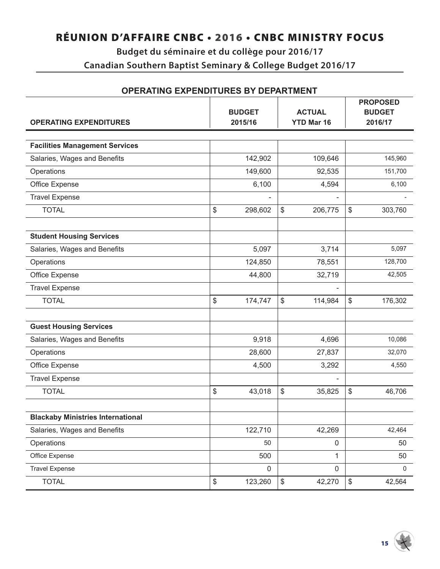### **Budget du séminaire et du collège pour 2016/17 Canadian Southern Baptist Seminary & College Budget 2016/17**

| <b>OPERATING EXPENDITURES BY DEPARTMENT</b> |                          |         |      |                                    |                                             |         |  |
|---------------------------------------------|--------------------------|---------|------|------------------------------------|---------------------------------------------|---------|--|
| <b>OPERATING EXPENDITURES</b>               | <b>BUDGET</b><br>2015/16 |         |      | <b>ACTUAL</b><br><b>YTD Mar 16</b> | <b>PROPOSED</b><br><b>BUDGET</b><br>2016/17 |         |  |
|                                             |                          |         |      |                                    |                                             |         |  |
| <b>Facilities Management Services</b>       |                          |         |      |                                    |                                             |         |  |
| Salaries, Wages and Benefits                |                          | 142,902 |      | 109,646                            |                                             | 145,960 |  |
| Operations                                  |                          | 149,600 |      | 92,535                             |                                             | 151,700 |  |
| Office Expense                              |                          | 6,100   |      | 4,594                              |                                             | 6,100   |  |
| <b>Travel Expense</b>                       |                          |         |      |                                    |                                             |         |  |
| <b>TOTAL</b>                                | \$                       | 298,602 | \$   | 206,775                            | \$                                          | 303,760 |  |
| <b>Student Housing Services</b>             |                          |         |      |                                    |                                             |         |  |
| Salaries, Wages and Benefits                |                          | 5,097   |      | 3,714                              |                                             | 5,097   |  |
| Operations                                  |                          | 124,850 |      | 78,551                             |                                             | 128,700 |  |
| Office Expense                              |                          | 44,800  |      | 32,719                             |                                             | 42,505  |  |
| <b>Travel Expense</b>                       |                          |         |      |                                    |                                             |         |  |
| <b>TOTAL</b>                                | \$                       | 174,747 | \$   | 114,984                            | \$                                          | 176,302 |  |
| <b>Guest Housing Services</b>               |                          |         |      |                                    |                                             |         |  |
| Salaries, Wages and Benefits                |                          | 9,918   |      | 4,696                              |                                             | 10,086  |  |
| Operations                                  |                          | 28,600  |      | 27,837                             |                                             | 32,070  |  |
| Office Expense                              |                          | 4,500   |      | 3,292                              |                                             | 4,550   |  |
| <b>Travel Expense</b>                       |                          |         |      |                                    |                                             |         |  |
| <b>TOTAL</b>                                | \$                       | 43,018  | \$   | 35,825                             | \$                                          | 46,706  |  |
| <b>Blackaby Ministries International</b>    |                          |         |      |                                    |                                             |         |  |
| Salaries, Wages and Benefits                |                          | 122,710 |      | 42,269                             |                                             | 42,464  |  |
| Operations                                  |                          | 50      |      | $\mathbf 0$                        |                                             | 50      |  |
| Office Expense                              |                          | 500     |      | 1                                  |                                             | 50      |  |
| <b>Travel Expense</b>                       |                          | 0       |      | $\mathbf 0$                        |                                             | 0       |  |
| <b>TOTAL</b>                                | \$                       | 123,260 | $\,$ | 42,270                             | $\,$                                        | 42,564  |  |

#### **OPERATING EXPENDITURES BY DEPARTMENT**